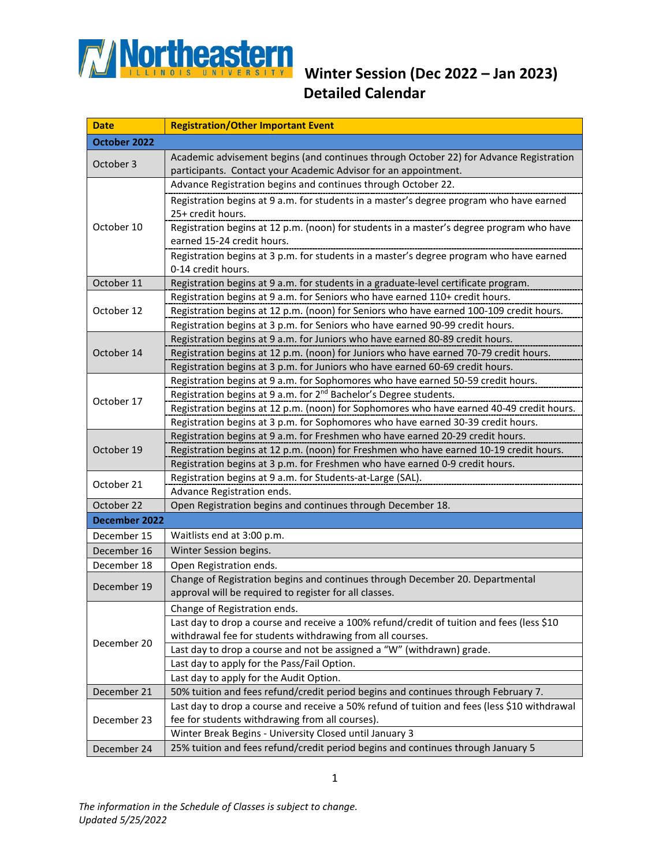

## **Detailed Calendar**

| <b>Date</b>   | <b>Registration/Other Important Event</b>                                                                                                                              |  |
|---------------|------------------------------------------------------------------------------------------------------------------------------------------------------------------------|--|
| October 2022  |                                                                                                                                                                        |  |
| October 3     | Academic advisement begins (and continues through October 22) for Advance Registration                                                                                 |  |
|               | participants. Contact your Academic Advisor for an appointment.                                                                                                        |  |
| October 10    | Advance Registration begins and continues through October 22.                                                                                                          |  |
|               | Registration begins at 9 a.m. for students in a master's degree program who have earned                                                                                |  |
|               | 25+ credit hours.                                                                                                                                                      |  |
|               | Registration begins at 12 p.m. (noon) for students in a master's degree program who have<br>earned 15-24 credit hours.                                                 |  |
|               | Registration begins at 3 p.m. for students in a master's degree program who have earned                                                                                |  |
|               | 0-14 credit hours.                                                                                                                                                     |  |
| October 11    | Registration begins at 9 a.m. for students in a graduate-level certificate program.                                                                                    |  |
| October 12    | Registration begins at 9 a.m. for Seniors who have earned 110+ credit hours.                                                                                           |  |
|               | Registration begins at 12 p.m. (noon) for Seniors who have earned 100-109 credit hours.                                                                                |  |
|               | Registration begins at 3 p.m. for Seniors who have earned 90-99 credit hours.                                                                                          |  |
| October 14    | Registration begins at 9 a.m. for Juniors who have earned 80-89 credit hours.                                                                                          |  |
|               | Registration begins at 12 p.m. (noon) for Juniors who have earned 70-79 credit hours.                                                                                  |  |
|               | Registration begins at 3 p.m. for Juniors who have earned 60-69 credit hours.                                                                                          |  |
| October 17    | Registration begins at 9 a.m. for Sophomores who have earned 50-59 credit hours.                                                                                       |  |
|               | Registration begins at 9 a.m. for 2 <sup>nd</sup> Bachelor's Degree students.                                                                                          |  |
|               | Registration begins at 12 p.m. (noon) for Sophomores who have earned 40-49 credit hours.                                                                               |  |
|               | Registration begins at 3 p.m. for Sophomores who have earned 30-39 credit hours.                                                                                       |  |
| October 19    | Registration begins at 9 a.m. for Freshmen who have earned 20-29 credit hours.                                                                                         |  |
|               | Registration begins at 12 p.m. (noon) for Freshmen who have earned 10-19 credit hours.<br>Registration begins at 3 p.m. for Freshmen who have earned 0-9 credit hours. |  |
|               | Registration begins at 9 a.m. for Students-at-Large (SAL).                                                                                                             |  |
| October 21    | Advance Registration ends.                                                                                                                                             |  |
| October 22    | Open Registration begins and continues through December 18.                                                                                                            |  |
| December 2022 |                                                                                                                                                                        |  |
| December 15   | Waitlists end at 3:00 p.m.                                                                                                                                             |  |
| December 16   | Winter Session begins.                                                                                                                                                 |  |
| December 18   | Open Registration ends.                                                                                                                                                |  |
| December 19   | Change of Registration begins and continues through December 20. Departmental                                                                                          |  |
|               | approval will be required to register for all classes.                                                                                                                 |  |
| December 20   | Change of Registration ends.                                                                                                                                           |  |
|               | Last day to drop a course and receive a 100% refund/credit of tuition and fees (less \$10                                                                              |  |
|               | withdrawal fee for students withdrawing from all courses.                                                                                                              |  |
|               | Last day to drop a course and not be assigned a "W" (withdrawn) grade.                                                                                                 |  |
|               | Last day to apply for the Pass/Fail Option.                                                                                                                            |  |
|               | Last day to apply for the Audit Option.                                                                                                                                |  |
| December 21   | 50% tuition and fees refund/credit period begins and continues through February 7.                                                                                     |  |
| December 23   | Last day to drop a course and receive a 50% refund of tuition and fees (less \$10 withdrawal                                                                           |  |
|               | fee for students withdrawing from all courses).                                                                                                                        |  |
|               | Winter Break Begins - University Closed until January 3                                                                                                                |  |
| December 24   | 25% tuition and fees refund/credit period begins and continues through January 5                                                                                       |  |